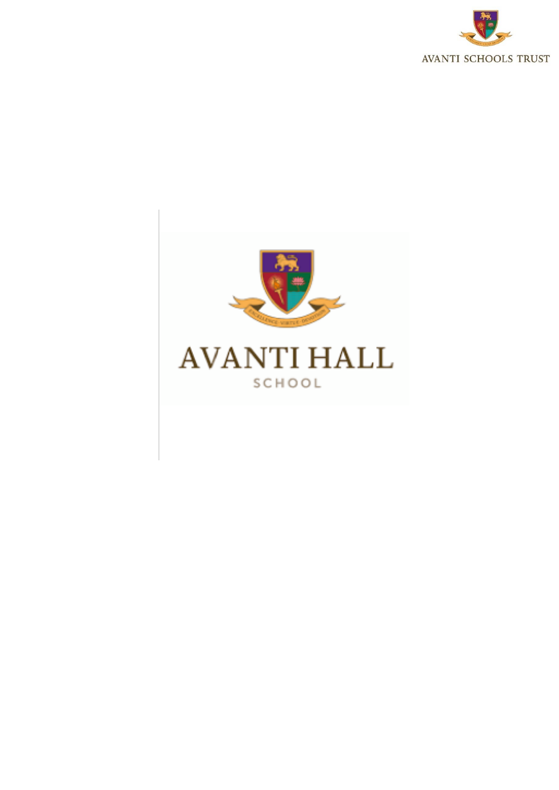

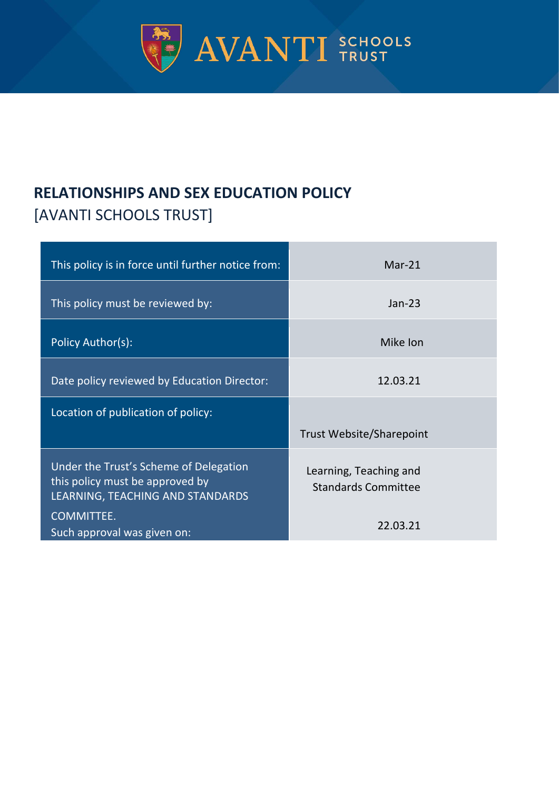

# **RELATIONSHIPS AND SEX EDUCATION POLICY**  [AVANTI SCHOOLS TRUST]

| This policy is in force until further notice from:                                                            | $Mar-21$                                             |
|---------------------------------------------------------------------------------------------------------------|------------------------------------------------------|
| This policy must be reviewed by:                                                                              | $Jan-23$                                             |
| Policy Author(s):                                                                                             | Mike Ion                                             |
| Date policy reviewed by Education Director:                                                                   | 12.03.21                                             |
| Location of publication of policy:                                                                            | <b>Trust Website/Sharepoint</b>                      |
| Under the Trust's Scheme of Delegation<br>this policy must be approved by<br>LEARNING, TEACHING AND STANDARDS | Learning, Teaching and<br><b>Standards Committee</b> |
| COMMITTEE.<br>Such approval was given on:                                                                     | 22.03.21                                             |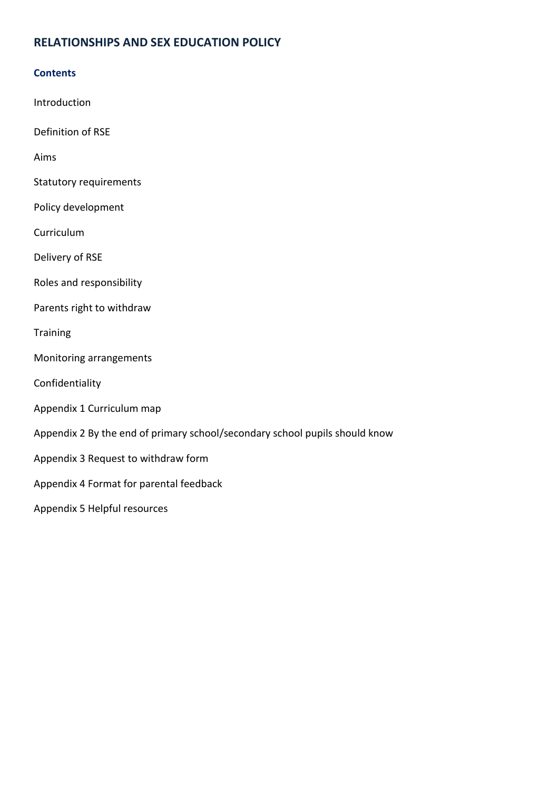## **RELATIONSHIPS AND SEX EDUCATION POLICY**

#### **Contents**

Introduction

Definition of RSE

Aims

- Statutory requirements
- Policy development

Curriculum

Delivery of RSE

Roles and responsibility

Parents right to withdraw

**Training** 

Monitoring arrangements

Confidentiality

- Appendix 1 Curriculum map
- Appendix 2 By the end of primary school/secondary school pupils should know
- Appendix 3 Request to withdraw form
- Appendix 4 Format for parental feedback

Appendix 5 Helpful resources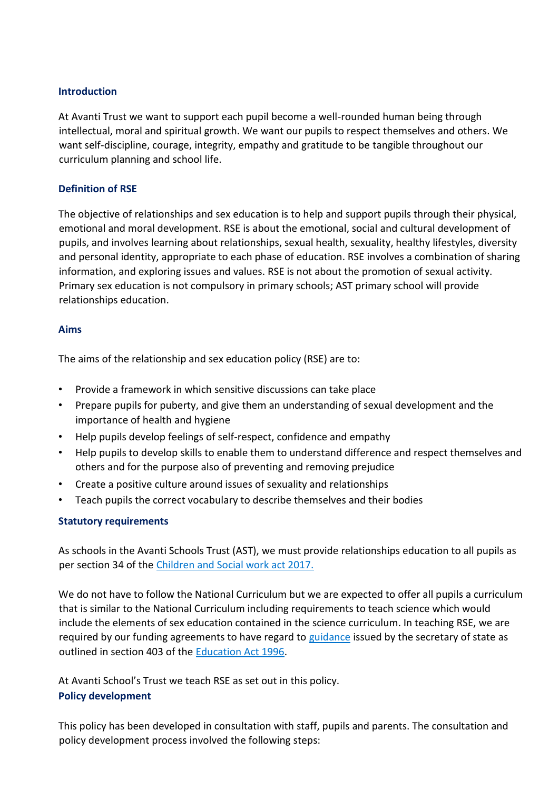#### **Introduction**

At Avanti Trust we want to support each pupil become a well-rounded human being through intellectual, moral and spiritual growth. We want our pupils to respect themselves and others. We want self-discipline, courage, integrity, empathy and gratitude to be tangible throughout our curriculum planning and school life.

#### **Definition of RSE**

The objective of relationships and sex education is to help and support pupils through their physical, emotional and moral development. RSE is about the emotional, social and cultural development of pupils, and involves learning about relationships, sexual health, sexuality, healthy lifestyles, diversity and personal identity, appropriate to each phase of education. RSE involves a combination of sharing information, and exploring issues and values. RSE is not about the promotion of sexual activity. Primary sex education is not compulsory in primary schools; AST primary school will provide relationships education.

#### **Aims**

The aims of the relationship and sex education policy (RSE) are to:

- Provide a framework in which sensitive discussions can take place
- Prepare pupils for puberty, and give them an understanding of sexual development and the importance of health and hygiene
- Help pupils develop feelings of self-respect, confidence and empathy
- Help pupils to develop skills to enable them to understand difference and respect themselves and others and for the purpose also of preventing and removing prejudice
- Create a positive culture around issues of sexuality and relationships
- Teach pupils the correct vocabulary to describe themselves and their bodies

#### **Statutory requirements**

As schools in the Avanti Schools Trust (AST), we must provide relationships education to all pupils as per section 34 of the [Children and Social work act 2017.](http://www.legislation.gov.uk/ukpga/2017/16/section/34/enacted)

We do not have to follow the National Curriculum but we are expected to offer all pupils a curriculum that is similar to the National Curriculum including requirements to teach science which would include the elements of sex education contained in the science curriculum. In teaching RSE, we are required by our funding agreements to have regard to [guidance](https://www.gov.uk/government/consultations/relationships-and-sex-education-and-health-education) issued by the secretary of state as outlined in section 403 of the [Education Act 1996.](http://www.legislation.gov.uk/ukpga/1996/56/contents)

At Avanti School's Trust we teach RSE as set out in this policy. **Policy development** 

This policy has been developed in consultation with staff, pupils and parents. The consultation and policy development process involved the following steps: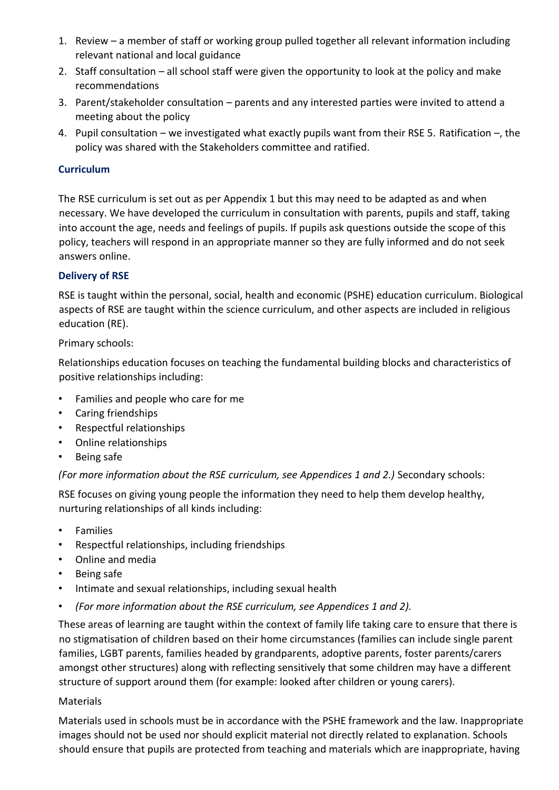- 1. Review a member of staff or working group pulled together all relevant information including relevant national and local guidance
- 2. Staff consultation all school staff were given the opportunity to look at the policy and make recommendations
- 3. Parent/stakeholder consultation parents and any interested parties were invited to attend a meeting about the policy
- 4. Pupil consultation we investigated what exactly pupils want from their RSE 5. Ratification –, the policy was shared with the Stakeholders committee and ratified.

#### **Curriculum**

The RSE curriculum is set out as per Appendix 1 but this may need to be adapted as and when necessary. We have developed the curriculum in consultation with parents, pupils and staff, taking into account the age, needs and feelings of pupils. If pupils ask questions outside the scope of this policy, teachers will respond in an appropriate manner so they are fully informed and do not seek answers online.

#### **Delivery of RSE**

RSE is taught within the personal, social, health and economic (PSHE) education curriculum. Biological aspects of RSE are taught within the science curriculum, and other aspects are included in religious education (RE).

#### Primary schools:

Relationships education focuses on teaching the fundamental building blocks and characteristics of positive relationships including:

- Families and people who care for me
- Caring friendships
- Respectful relationships
- Online relationships
- Being safe

*(For more information about the RSE curriculum, see Appendices 1 and 2.)* Secondary schools:

RSE focuses on giving young people the information they need to help them develop healthy, nurturing relationships of all kinds including:

- **Families**
- Respectful relationships, including friendships
- Online and media
- Being safe
- Intimate and sexual relationships, including sexual health
- *(For more information about the RSE curriculum, see Appendices 1 and 2).*

These areas of learning are taught within the context of family life taking care to ensure that there is no stigmatisation of children based on their home circumstances (families can include single parent families, LGBT parents, families headed by grandparents, adoptive parents, foster parents/carers amongst other structures) along with reflecting sensitively that some children may have a different structure of support around them (for example: looked after children or young carers).

#### Materials

Materials used in schools must be in accordance with the PSHE framework and the law. Inappropriate images should not be used nor should explicit material not directly related to explanation. Schools should ensure that pupils are protected from teaching and materials which are inappropriate, having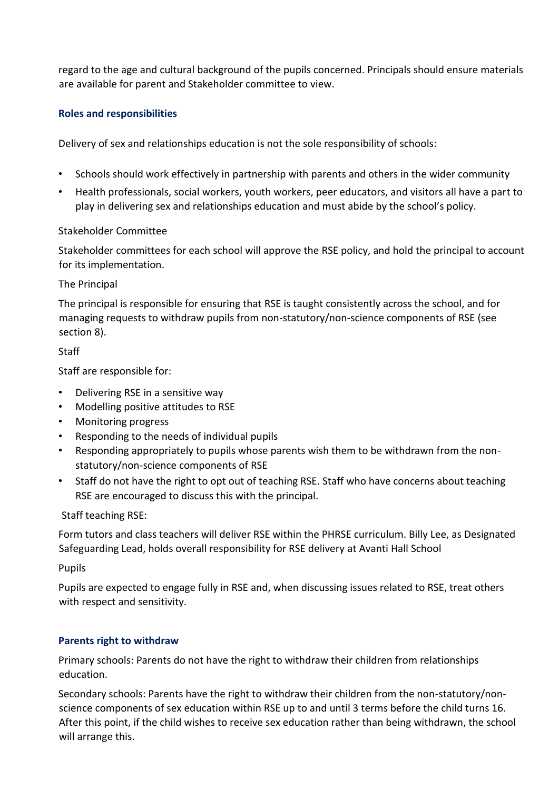regard to the age and cultural background of the pupils concerned. Principals should ensure materials are available for parent and Stakeholder committee to view.

#### **Roles and responsibilities**

Delivery of sex and relationships education is not the sole responsibility of schools:

- Schools should work effectively in partnership with parents and others in the wider community
- Health professionals, social workers, youth workers, peer educators, and visitors all have a part to play in delivering sex and relationships education and must abide by the school's policy.

#### Stakeholder Committee

Stakeholder committees for each school will approve the RSE policy, and hold the principal to account for its implementation.

#### The Principal

The principal is responsible for ensuring that RSE is taught consistently across the school, and for managing requests to withdraw pupils from non-statutory/non-science components of RSE (see section 8).

#### **Staff**

Staff are responsible for:

- Delivering RSE in a sensitive way
- Modelling positive attitudes to RSE
- Monitoring progress
- Responding to the needs of individual pupils
- Responding appropriately to pupils whose parents wish them to be withdrawn from the nonstatutory/non-science components of RSE
- Staff do not have the right to opt out of teaching RSE. Staff who have concerns about teaching RSE are encouraged to discuss this with the principal.

#### Staff teaching RSE:

Form tutors and class teachers will deliver RSE within the PHRSE curriculum. Billy Lee, as Designated Safeguarding Lead, holds overall responsibility for RSE delivery at Avanti Hall School

#### Pupils

Pupils are expected to engage fully in RSE and, when discussing issues related to RSE, treat others with respect and sensitivity.

#### **Parents right to withdraw**

Primary schools: Parents do not have the right to withdraw their children from relationships education.

Secondary schools: Parents have the right to withdraw their children from the non-statutory/nonscience components of sex education within RSE up to and until 3 terms before the child turns 16. After this point, if the child wishes to receive sex education rather than being withdrawn, the school will arrange this.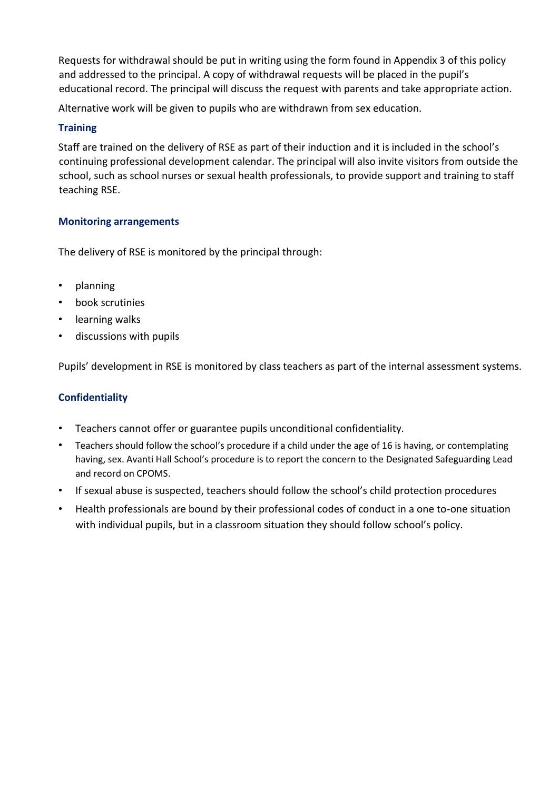Requests for withdrawal should be put in writing using the form found in Appendix 3 of this policy and addressed to the principal. A copy of withdrawal requests will be placed in the pupil's educational record. The principal will discuss the request with parents and take appropriate action.

Alternative work will be given to pupils who are withdrawn from sex education.

### **Training**

Staff are trained on the delivery of RSE as part of their induction and it is included in the school's continuing professional development calendar. The principal will also invite visitors from outside the school, such as school nurses or sexual health professionals, to provide support and training to staff teaching RSE.

#### **Monitoring arrangements**

The delivery of RSE is monitored by the principal through:

- planning
- book scrutinies
- learning walks
- discussions with pupils

Pupils' development in RSE is monitored by class teachers as part of the internal assessment systems.

## **Confidentiality**

- Teachers cannot offer or guarantee pupils unconditional confidentiality.
- Teachers should follow the school's procedure if a child under the age of 16 is having, or contemplating having, sex. Avanti Hall School's procedure is to report the concern to the Designated Safeguarding Lead and record on CPOMS.
- If sexual abuse is suspected, teachers should follow the school's child protection procedures
- Health professionals are bound by their professional codes of conduct in a one to-one situation with individual pupils, but in a classroom situation they should follow school's policy.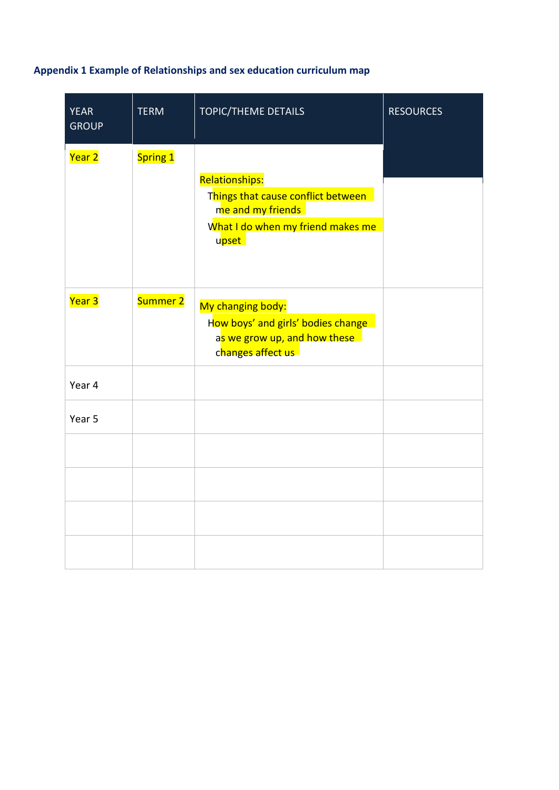# **Appendix 1 Example of Relationships and sex education curriculum map**

| <b>YEAR</b><br><b>GROUP</b> | <b>TERM</b> | <b>TOPIC/THEME DETAILS</b>                                                                                                     | <b>RESOURCES</b> |
|-----------------------------|-------------|--------------------------------------------------------------------------------------------------------------------------------|------------------|
| Year 2                      | Spring 1    | <b>Relationships:</b><br>Things that cause conflict between<br>me and my friends<br>What I do when my friend makes me<br>upset |                  |
| Year 3                      | Summer 2    | My changing body:<br>How boys' and girls' bodies change<br>as we grow up, and how these<br>changes affect us                   |                  |
| Year 4                      |             |                                                                                                                                |                  |
| Year 5                      |             |                                                                                                                                |                  |
|                             |             |                                                                                                                                |                  |
|                             |             |                                                                                                                                |                  |
|                             |             |                                                                                                                                |                  |
|                             |             |                                                                                                                                |                  |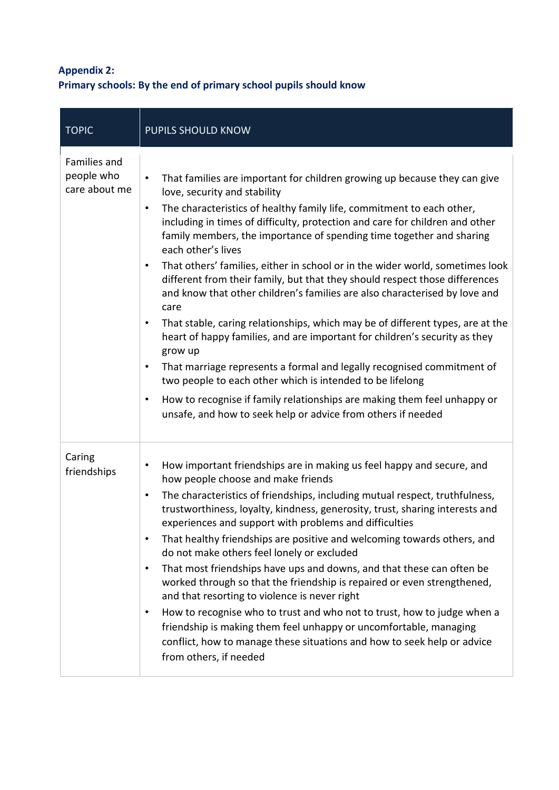# **Appendix 2: Primary schools: By the end of primary school pupils should know**

| <b>TOPIC</b>                                | PUPILS SHOULD KNOW                                                                                                                                                                                                                                                                                                                                                                                                                                                                                                                                                                                                                                                                                                                                                                                                                                                                                                                                                                                                                                                                                                                                                 |
|---------------------------------------------|--------------------------------------------------------------------------------------------------------------------------------------------------------------------------------------------------------------------------------------------------------------------------------------------------------------------------------------------------------------------------------------------------------------------------------------------------------------------------------------------------------------------------------------------------------------------------------------------------------------------------------------------------------------------------------------------------------------------------------------------------------------------------------------------------------------------------------------------------------------------------------------------------------------------------------------------------------------------------------------------------------------------------------------------------------------------------------------------------------------------------------------------------------------------|
| Families and<br>people who<br>care about me | That families are important for children growing up because they can give<br>$\bullet$<br>love, security and stability<br>The characteristics of healthy family life, commitment to each other,<br>$\bullet$<br>including in times of difficulty, protection and care for children and other<br>family members, the importance of spending time together and sharing<br>each other's lives<br>That others' families, either in school or in the wider world, sometimes look<br>$\bullet$<br>different from their family, but that they should respect those differences<br>and know that other children's families are also characterised by love and<br>care<br>That stable, caring relationships, which may be of different types, are at the<br>$\bullet$<br>heart of happy families, and are important for children's security as they<br>grow up<br>That marriage represents a formal and legally recognised commitment of<br>$\bullet$<br>two people to each other which is intended to be lifelong<br>How to recognise if family relationships are making them feel unhappy or<br>$\bullet$<br>unsafe, and how to seek help or advice from others if needed |
| Caring<br>friendships                       | How important friendships are in making us feel happy and secure, and<br>٠<br>how people choose and make friends<br>The characteristics of friendships, including mutual respect, truthfulness,<br>$\bullet$<br>trustworthiness, loyalty, kindness, generosity, trust, sharing interests and<br>experiences and support with problems and difficulties<br>That healthy friendships are positive and welcoming towards others, and<br>$\bullet$<br>do not make others feel lonely or excluded<br>That most friendships have ups and downs, and that these can often be<br>$\bullet$<br>worked through so that the friendship is repaired or even strengthened,<br>and that resorting to violence is never right<br>How to recognise who to trust and who not to trust, how to judge when a<br>$\bullet$<br>friendship is making them feel unhappy or uncomfortable, managing<br>conflict, how to manage these situations and how to seek help or advice<br>from others, if needed                                                                                                                                                                                   |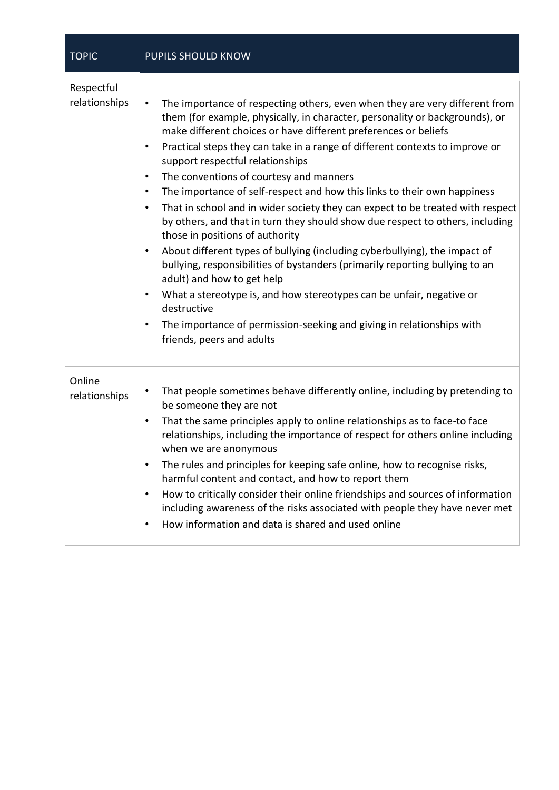| <b>TOPIC</b>                | PUPILS SHOULD KNOW                                                                                                                                                                                                                                                                                                                                                                                                                                                                                                                                                                                                                                                                                                                                                                                                                                                                                                                                                                                                                                                                                                                                                       |
|-----------------------------|--------------------------------------------------------------------------------------------------------------------------------------------------------------------------------------------------------------------------------------------------------------------------------------------------------------------------------------------------------------------------------------------------------------------------------------------------------------------------------------------------------------------------------------------------------------------------------------------------------------------------------------------------------------------------------------------------------------------------------------------------------------------------------------------------------------------------------------------------------------------------------------------------------------------------------------------------------------------------------------------------------------------------------------------------------------------------------------------------------------------------------------------------------------------------|
| Respectful<br>relationships | The importance of respecting others, even when they are very different from<br>$\bullet$<br>them (for example, physically, in character, personality or backgrounds), or<br>make different choices or have different preferences or beliefs<br>Practical steps they can take in a range of different contexts to improve or<br>$\bullet$<br>support respectful relationships<br>The conventions of courtesy and manners<br>$\bullet$<br>The importance of self-respect and how this links to their own happiness<br>٠<br>That in school and in wider society they can expect to be treated with respect<br>$\bullet$<br>by others, and that in turn they should show due respect to others, including<br>those in positions of authority<br>About different types of bullying (including cyberbullying), the impact of<br>$\bullet$<br>bullying, responsibilities of bystanders (primarily reporting bullying to an<br>adult) and how to get help<br>What a stereotype is, and how stereotypes can be unfair, negative or<br>$\bullet$<br>destructive<br>The importance of permission-seeking and giving in relationships with<br>$\bullet$<br>friends, peers and adults |
| Online<br>relationships     | That people sometimes behave differently online, including by pretending to<br>$\bullet$<br>be someone they are not<br>That the same principles apply to online relationships as to face-to face<br>٠<br>relationships, including the importance of respect for others online including<br>when we are anonymous<br>The rules and principles for keeping safe online, how to recognise risks,<br>٠<br>harmful content and contact, and how to report them<br>How to critically consider their online friendships and sources of information<br>$\bullet$<br>including awareness of the risks associated with people they have never met<br>How information and data is shared and used online<br>٠                                                                                                                                                                                                                                                                                                                                                                                                                                                                       |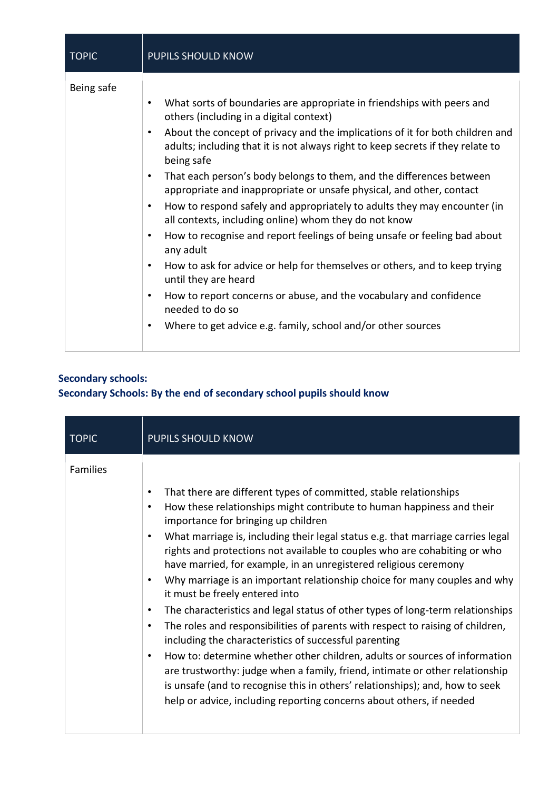| <b>TOPIC</b> | <b>PUPILS SHOULD KNOW</b>                                                                                                                                                                                                                                                                                                                                                                                                                                                                                                                                                                                                                                                                                                                                                                                                                                                                                                                                                                                                                                 |
|--------------|-----------------------------------------------------------------------------------------------------------------------------------------------------------------------------------------------------------------------------------------------------------------------------------------------------------------------------------------------------------------------------------------------------------------------------------------------------------------------------------------------------------------------------------------------------------------------------------------------------------------------------------------------------------------------------------------------------------------------------------------------------------------------------------------------------------------------------------------------------------------------------------------------------------------------------------------------------------------------------------------------------------------------------------------------------------|
| Being safe   | What sorts of boundaries are appropriate in friendships with peers and<br>$\bullet$<br>others (including in a digital context)<br>About the concept of privacy and the implications of it for both children and<br>$\bullet$<br>adults; including that it is not always right to keep secrets if they relate to<br>being safe<br>That each person's body belongs to them, and the differences between<br>$\bullet$<br>appropriate and inappropriate or unsafe physical, and other, contact<br>How to respond safely and appropriately to adults they may encounter (in<br>$\bullet$<br>all contexts, including online) whom they do not know<br>How to recognise and report feelings of being unsafe or feeling bad about<br>$\bullet$<br>any adult<br>How to ask for advice or help for themselves or others, and to keep trying<br>$\bullet$<br>until they are heard<br>How to report concerns or abuse, and the vocabulary and confidence<br>$\bullet$<br>needed to do so<br>Where to get advice e.g. family, school and/or other sources<br>$\bullet$ |

# **Secondary schools: Secondary Schools: By the end of secondary school pupils should know**

| <b>TOPIC</b> | <b>PUPILS SHOULD KNOW</b>                                                                                                                                                                                                                                                                                                                                                                                                                                                                                                                                                                                                                                                                                                                                                                                                                                                                                                                                                                                                                                                                                                                                                  |
|--------------|----------------------------------------------------------------------------------------------------------------------------------------------------------------------------------------------------------------------------------------------------------------------------------------------------------------------------------------------------------------------------------------------------------------------------------------------------------------------------------------------------------------------------------------------------------------------------------------------------------------------------------------------------------------------------------------------------------------------------------------------------------------------------------------------------------------------------------------------------------------------------------------------------------------------------------------------------------------------------------------------------------------------------------------------------------------------------------------------------------------------------------------------------------------------------|
| Families     | That there are different types of committed, stable relationships<br>$\bullet$<br>How these relationships might contribute to human happiness and their<br>$\bullet$<br>importance for bringing up children<br>What marriage is, including their legal status e.g. that marriage carries legal<br>$\bullet$<br>rights and protections not available to couples who are cohabiting or who<br>have married, for example, in an unregistered religious ceremony<br>Why marriage is an important relationship choice for many couples and why<br>٠<br>it must be freely entered into<br>The characteristics and legal status of other types of long-term relationships<br>$\bullet$<br>The roles and responsibilities of parents with respect to raising of children,<br>$\bullet$<br>including the characteristics of successful parenting<br>How to: determine whether other children, adults or sources of information<br>$\bullet$<br>are trustworthy: judge when a family, friend, intimate or other relationship<br>is unsafe (and to recognise this in others' relationships); and, how to seek<br>help or advice, including reporting concerns about others, if needed |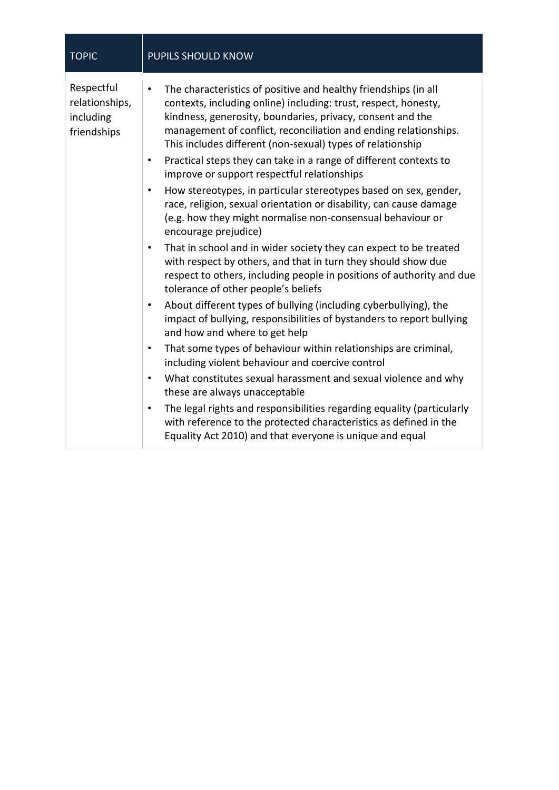| <b>TOPIC</b>                                             | <b>PUPILS SHOULD KNOW</b>                                                                                                                                                                                                                                                                                                                                                                                                                                                                                                                                                                                                                                                                                                                                                                                                                                                                                                                                                                                                                                                                                                                                                                                                                                                                                                                                                                                                                                                                                                                                                                                                  |
|----------------------------------------------------------|----------------------------------------------------------------------------------------------------------------------------------------------------------------------------------------------------------------------------------------------------------------------------------------------------------------------------------------------------------------------------------------------------------------------------------------------------------------------------------------------------------------------------------------------------------------------------------------------------------------------------------------------------------------------------------------------------------------------------------------------------------------------------------------------------------------------------------------------------------------------------------------------------------------------------------------------------------------------------------------------------------------------------------------------------------------------------------------------------------------------------------------------------------------------------------------------------------------------------------------------------------------------------------------------------------------------------------------------------------------------------------------------------------------------------------------------------------------------------------------------------------------------------------------------------------------------------------------------------------------------------|
| Respectful<br>relationships,<br>including<br>friendships | The characteristics of positive and healthy friendships (in all<br>contexts, including online) including: trust, respect, honesty,<br>kindness, generosity, boundaries, privacy, consent and the<br>management of conflict, reconciliation and ending relationships.<br>This includes different (non-sexual) types of relationship<br>Practical steps they can take in a range of different contexts to<br>٠<br>improve or support respectful relationships<br>How stereotypes, in particular stereotypes based on sex, gender,<br>٠<br>race, religion, sexual orientation or disability, can cause damage<br>(e.g. how they might normalise non-consensual behaviour or<br>encourage prejudice)<br>That in school and in wider society they can expect to be treated<br>$\bullet$<br>with respect by others, and that in turn they should show due<br>respect to others, including people in positions of authority and due<br>tolerance of other people's beliefs<br>About different types of bullying (including cyberbullying), the<br>٠<br>impact of bullying, responsibilities of bystanders to report bullying<br>and how and where to get help<br>That some types of behaviour within relationships are criminal,<br>$\bullet$<br>including violent behaviour and coercive control<br>What constitutes sexual harassment and sexual violence and why<br>$\bullet$<br>these are always unacceptable<br>The legal rights and responsibilities regarding equality (particularly<br>٠<br>with reference to the protected characteristics as defined in the<br>Equality Act 2010) and that everyone is unique and equal |
|                                                          |                                                                                                                                                                                                                                                                                                                                                                                                                                                                                                                                                                                                                                                                                                                                                                                                                                                                                                                                                                                                                                                                                                                                                                                                                                                                                                                                                                                                                                                                                                                                                                                                                            |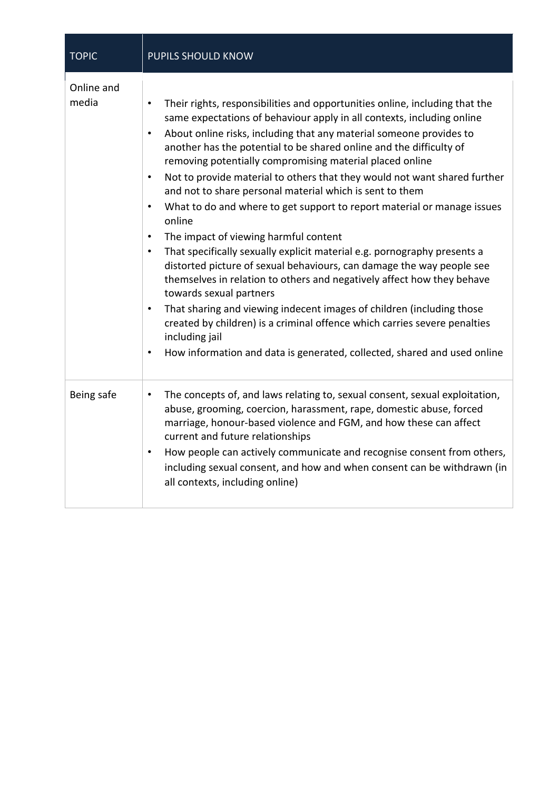| <b>TOPIC</b>        | <b>PUPILS SHOULD KNOW</b>                                                                                                                                                                                                                                                                                                                                                                                                                                                                                                                                                                                                                                                                                                                                                                                                                                                                                                                                                                                                                                                                                                                                                                                                                                    |
|---------------------|--------------------------------------------------------------------------------------------------------------------------------------------------------------------------------------------------------------------------------------------------------------------------------------------------------------------------------------------------------------------------------------------------------------------------------------------------------------------------------------------------------------------------------------------------------------------------------------------------------------------------------------------------------------------------------------------------------------------------------------------------------------------------------------------------------------------------------------------------------------------------------------------------------------------------------------------------------------------------------------------------------------------------------------------------------------------------------------------------------------------------------------------------------------------------------------------------------------------------------------------------------------|
| Online and<br>media | Their rights, responsibilities and opportunities online, including that the<br>$\bullet$<br>same expectations of behaviour apply in all contexts, including online<br>About online risks, including that any material someone provides to<br>$\bullet$<br>another has the potential to be shared online and the difficulty of<br>removing potentially compromising material placed online<br>Not to provide material to others that they would not want shared further<br>$\bullet$<br>and not to share personal material which is sent to them<br>What to do and where to get support to report material or manage issues<br>$\bullet$<br>online<br>The impact of viewing harmful content<br>$\bullet$<br>That specifically sexually explicit material e.g. pornography presents a<br>$\bullet$<br>distorted picture of sexual behaviours, can damage the way people see<br>themselves in relation to others and negatively affect how they behave<br>towards sexual partners<br>That sharing and viewing indecent images of children (including those<br>$\bullet$<br>created by children) is a criminal offence which carries severe penalties<br>including jail<br>How information and data is generated, collected, shared and used online<br>$\bullet$ |
| Being safe          | The concepts of, and laws relating to, sexual consent, sexual exploitation,<br>$\bullet$<br>abuse, grooming, coercion, harassment, rape, domestic abuse, forced<br>marriage, honour-based violence and FGM, and how these can affect<br>current and future relationships<br>How people can actively communicate and recognise consent from others,<br>٠<br>including sexual consent, and how and when consent can be withdrawn (in<br>all contexts, including online)                                                                                                                                                                                                                                                                                                                                                                                                                                                                                                                                                                                                                                                                                                                                                                                        |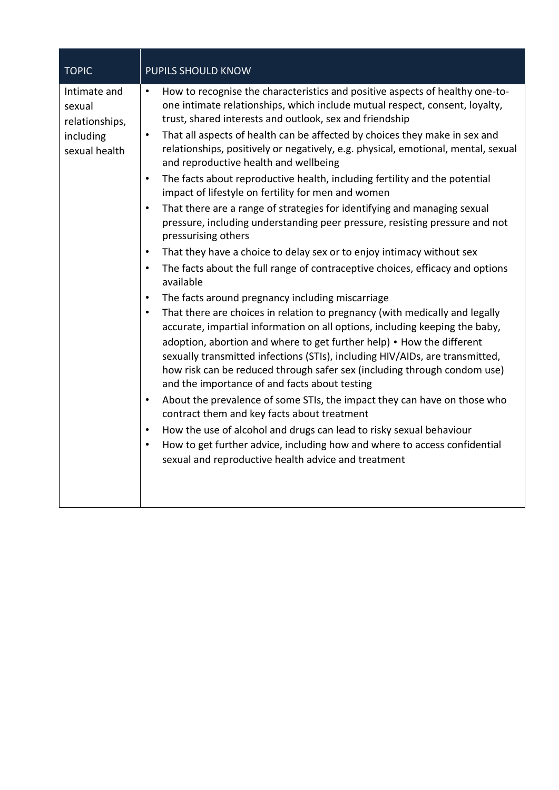| <b>TOPIC</b>                                                           | PUPILS SHOULD KNOW                                                                                                                                                                                                                                                                                                                                                                                                                                                                                                                                                                                                                                                                                                                                                                                                                                                                                                                                                                                                                                                                                                                                                                                                                                                                                                                                                                                                                                                                                                                                                                                                                                                                                                                                                                                                                                                                                                           |
|------------------------------------------------------------------------|------------------------------------------------------------------------------------------------------------------------------------------------------------------------------------------------------------------------------------------------------------------------------------------------------------------------------------------------------------------------------------------------------------------------------------------------------------------------------------------------------------------------------------------------------------------------------------------------------------------------------------------------------------------------------------------------------------------------------------------------------------------------------------------------------------------------------------------------------------------------------------------------------------------------------------------------------------------------------------------------------------------------------------------------------------------------------------------------------------------------------------------------------------------------------------------------------------------------------------------------------------------------------------------------------------------------------------------------------------------------------------------------------------------------------------------------------------------------------------------------------------------------------------------------------------------------------------------------------------------------------------------------------------------------------------------------------------------------------------------------------------------------------------------------------------------------------------------------------------------------------------------------------------------------------|
| Intimate and<br>sexual<br>relationships,<br>including<br>sexual health | How to recognise the characteristics and positive aspects of healthy one-to-<br>$\bullet$<br>one intimate relationships, which include mutual respect, consent, loyalty,<br>trust, shared interests and outlook, sex and friendship<br>That all aspects of health can be affected by choices they make in sex and<br>$\bullet$<br>relationships, positively or negatively, e.g. physical, emotional, mental, sexual<br>and reproductive health and wellbeing<br>The facts about reproductive health, including fertility and the potential<br>$\bullet$<br>impact of lifestyle on fertility for men and women<br>That there are a range of strategies for identifying and managing sexual<br>$\bullet$<br>pressure, including understanding peer pressure, resisting pressure and not<br>pressurising others<br>That they have a choice to delay sex or to enjoy intimacy without sex<br>$\bullet$<br>The facts about the full range of contraceptive choices, efficacy and options<br>$\bullet$<br>available<br>The facts around pregnancy including miscarriage<br>$\bullet$<br>That there are choices in relation to pregnancy (with medically and legally<br>$\bullet$<br>accurate, impartial information on all options, including keeping the baby,<br>adoption, abortion and where to get further help) • How the different<br>sexually transmitted infections (STIs), including HIV/AIDs, are transmitted,<br>how risk can be reduced through safer sex (including through condom use)<br>and the importance of and facts about testing<br>About the prevalence of some STIs, the impact they can have on those who<br>$\bullet$<br>contract them and key facts about treatment<br>How the use of alcohol and drugs can lead to risky sexual behaviour<br>$\bullet$<br>How to get further advice, including how and where to access confidential<br>$\bullet$<br>sexual and reproductive health advice and treatment |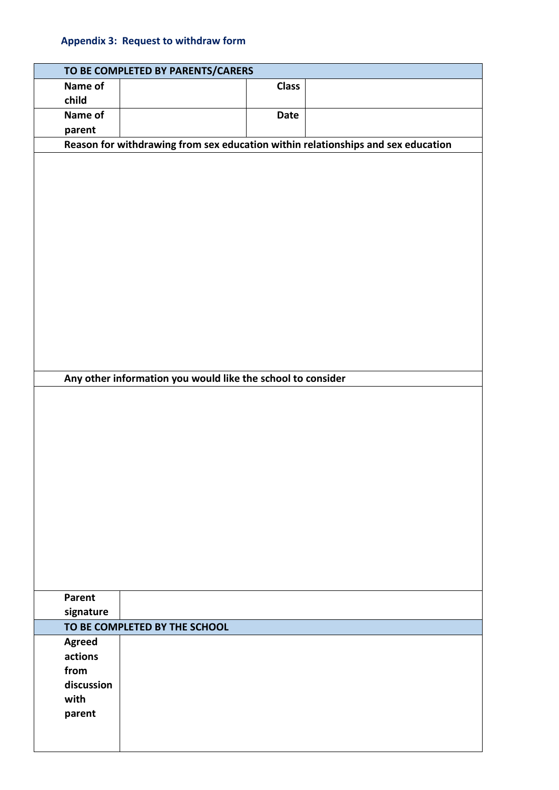## **Appendix 3: Request to withdraw form**

|                               | TO BE COMPLETED BY PARENTS/CARERS                           |              |                                                                                  |
|-------------------------------|-------------------------------------------------------------|--------------|----------------------------------------------------------------------------------|
| Name of                       |                                                             | <b>Class</b> |                                                                                  |
| child                         |                                                             |              |                                                                                  |
| Name of                       |                                                             | <b>Date</b>  |                                                                                  |
| parent                        |                                                             |              |                                                                                  |
|                               |                                                             |              | Reason for withdrawing from sex education within relationships and sex education |
|                               |                                                             |              |                                                                                  |
|                               |                                                             |              |                                                                                  |
|                               |                                                             |              |                                                                                  |
|                               |                                                             |              |                                                                                  |
|                               |                                                             |              |                                                                                  |
|                               |                                                             |              |                                                                                  |
|                               |                                                             |              |                                                                                  |
|                               |                                                             |              |                                                                                  |
|                               |                                                             |              |                                                                                  |
|                               |                                                             |              |                                                                                  |
|                               |                                                             |              |                                                                                  |
|                               |                                                             |              |                                                                                  |
|                               |                                                             |              |                                                                                  |
|                               |                                                             |              |                                                                                  |
|                               | Any other information you would like the school to consider |              |                                                                                  |
|                               |                                                             |              |                                                                                  |
|                               |                                                             |              |                                                                                  |
|                               |                                                             |              |                                                                                  |
|                               |                                                             |              |                                                                                  |
|                               |                                                             |              |                                                                                  |
|                               |                                                             |              |                                                                                  |
|                               |                                                             |              |                                                                                  |
|                               |                                                             |              |                                                                                  |
|                               |                                                             |              |                                                                                  |
|                               |                                                             |              |                                                                                  |
|                               |                                                             |              |                                                                                  |
|                               |                                                             |              |                                                                                  |
|                               |                                                             |              |                                                                                  |
|                               |                                                             |              |                                                                                  |
| Parent                        |                                                             |              |                                                                                  |
| signature                     |                                                             |              |                                                                                  |
| TO BE COMPLETED BY THE SCHOOL |                                                             |              |                                                                                  |
| <b>Agreed</b>                 |                                                             |              |                                                                                  |
| actions<br>from               |                                                             |              |                                                                                  |
| discussion                    |                                                             |              |                                                                                  |
| with                          |                                                             |              |                                                                                  |
| parent                        |                                                             |              |                                                                                  |
|                               |                                                             |              |                                                                                  |
|                               |                                                             |              |                                                                                  |
|                               |                                                             |              |                                                                                  |